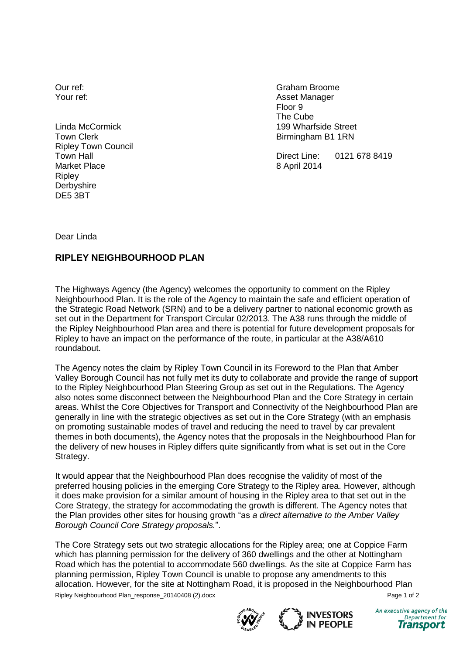Our ref: Your ref:

Linda McCormick Town Clerk Ripley Town Council Town Hall Market Place Ripley **Derbyshire** DE5 3BT

Graham Broome Asset Manager Floor 9 The Cube 199 Wharfside Street Birmingham B1 1RN

Direct Line: 0121 678 8419 8 April 2014

Dear Linda

## **RIPLEY NEIGHBOURHOOD PLAN**

The Highways Agency (the Agency) welcomes the opportunity to comment on the Ripley Neighbourhood Plan. It is the role of the Agency to maintain the safe and efficient operation of the Strategic Road Network (SRN) and to be a delivery partner to national economic growth as set out in the Department for Transport Circular 02/2013. The A38 runs through the middle of the Ripley Neighbourhood Plan area and there is potential for future development proposals for Ripley to have an impact on the performance of the route, in particular at the A38/A610 roundabout.

The Agency notes the claim by Ripley Town Council in its Foreword to the Plan that Amber Valley Borough Council has not fully met its duty to collaborate and provide the range of support to the Ripley Neighbourhood Plan Steering Group as set out in the Regulations. The Agency also notes some disconnect between the Neighbourhood Plan and the Core Strategy in certain areas. Whilst the Core Objectives for Transport and Connectivity of the Neighbourhood Plan are generally in line with the strategic objectives as set out in the Core Strategy (with an emphasis on promoting sustainable modes of travel and reducing the need to travel by car prevalent themes in both documents), the Agency notes that the proposals in the Neighbourhood Plan for the delivery of new houses in Ripley differs quite significantly from what is set out in the Core Strategy.

It would appear that the Neighbourhood Plan does recognise the validity of most of the preferred housing policies in the emerging Core Strategy to the Ripley area. However, although it does make provision for a similar amount of housing in the Ripley area to that set out in the Core Strategy, the strategy for accommodating the growth is different. The Agency notes that the Plan provides other sites for housing growth "as *a direct alternative to the Amber Valley Borough Council Core Strategy proposals.*".

Ripley Neighbourhood Plan\_response\_20140408 (2).docx Page 1 of 2 The Core Strategy sets out two strategic allocations for the Ripley area; one at Coppice Farm which has planning permission for the delivery of 360 dwellings and the other at Nottingham Road which has the potential to accommodate 560 dwellings. As the site at Coppice Farm has planning permission, Ripley Town Council is unable to propose any amendments to this allocation. However, for the site at Nottingham Road, it is proposed in the Neighbourhood Plan